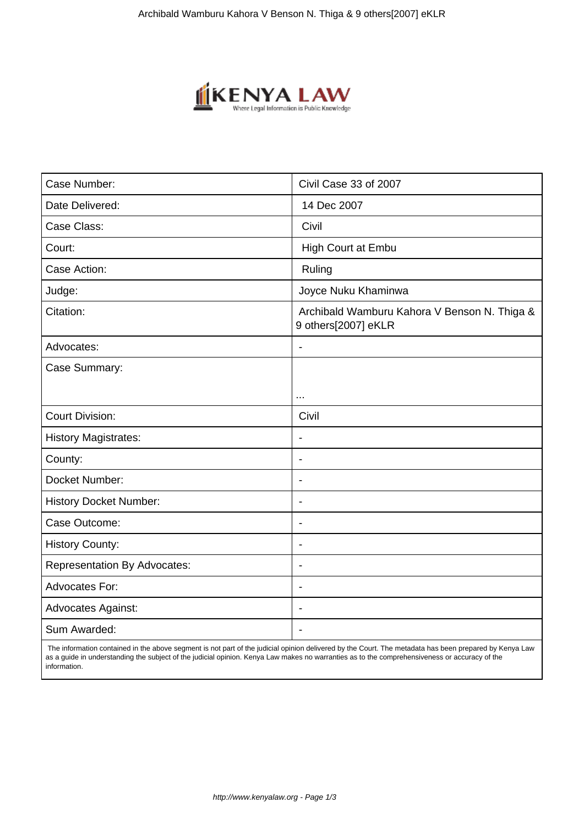

| Case Number:                        | Civil Case 33 of 2007                                               |
|-------------------------------------|---------------------------------------------------------------------|
| Date Delivered:                     | 14 Dec 2007                                                         |
| Case Class:                         | Civil                                                               |
| Court:                              | High Court at Embu                                                  |
| Case Action:                        | Ruling                                                              |
| Judge:                              | Joyce Nuku Khaminwa                                                 |
| Citation:                           | Archibald Wamburu Kahora V Benson N. Thiga &<br>9 others[2007] eKLR |
| Advocates:                          | $\blacksquare$                                                      |
| Case Summary:                       |                                                                     |
|                                     |                                                                     |
| <b>Court Division:</b>              | Civil                                                               |
| <b>History Magistrates:</b>         | $\overline{\phantom{a}}$                                            |
| County:                             | $\overline{\phantom{0}}$                                            |
| Docket Number:                      | $\overline{\phantom{a}}$                                            |
| <b>History Docket Number:</b>       | $\blacksquare$                                                      |
| Case Outcome:                       | $\blacksquare$                                                      |
| <b>History County:</b>              | $\blacksquare$                                                      |
| <b>Representation By Advocates:</b> | $\blacksquare$                                                      |
| Advocates For:                      | $\blacksquare$                                                      |
| <b>Advocates Against:</b>           |                                                                     |
| Sum Awarded:                        |                                                                     |

 The information contained in the above segment is not part of the judicial opinion delivered by the Court. The metadata has been prepared by Kenya Law as a guide in understanding the subject of the judicial opinion. Kenya Law makes no warranties as to the comprehensiveness or accuracy of the information.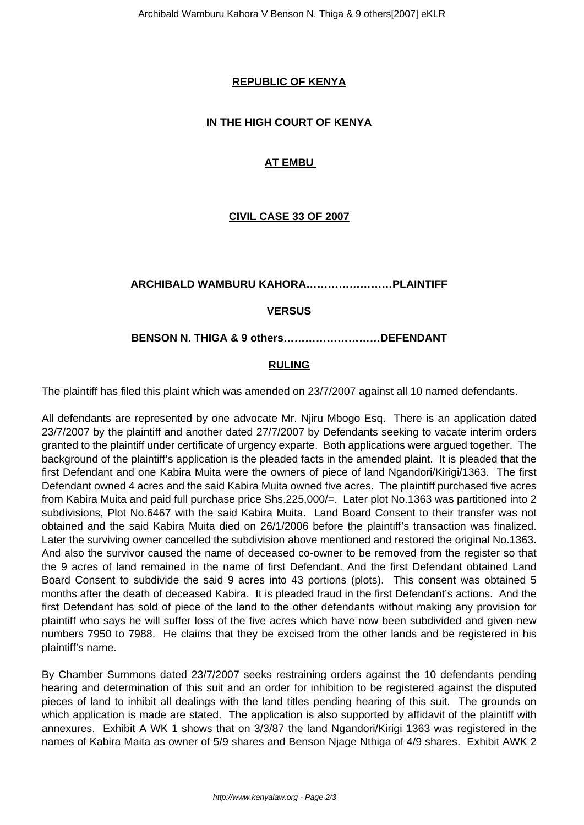## **REPUBLIC OF KENYA**

## **IN THE HIGH COURT OF KENYA**

## **AT EMBU**

## **CIVIL CASE 33 OF 2007**

### **ARCHIBALD WAMBURU KAHORA……………………PLAINTIFF**

### **VERSUS**

### **BENSON N. THIGA & 9 others………………………DEFENDANT**

#### **RULING**

The plaintiff has filed this plaint which was amended on 23/7/2007 against all 10 named defendants.

All defendants are represented by one advocate Mr. Njiru Mbogo Esq. There is an application dated 23/7/2007 by the plaintiff and another dated 27/7/2007 by Defendants seeking to vacate interim orders granted to the plaintiff under certificate of urgency exparte. Both applications were argued together. The background of the plaintiff's application is the pleaded facts in the amended plaint. It is pleaded that the first Defendant and one Kabira Muita were the owners of piece of land Ngandori/Kirigi/1363. The first Defendant owned 4 acres and the said Kabira Muita owned five acres. The plaintiff purchased five acres from Kabira Muita and paid full purchase price Shs.225,000/=. Later plot No.1363 was partitioned into 2 subdivisions, Plot No.6467 with the said Kabira Muita. Land Board Consent to their transfer was not obtained and the said Kabira Muita died on 26/1/2006 before the plaintiff's transaction was finalized. Later the surviving owner cancelled the subdivision above mentioned and restored the original No.1363. And also the survivor caused the name of deceased co-owner to be removed from the register so that the 9 acres of land remained in the name of first Defendant. And the first Defendant obtained Land Board Consent to subdivide the said 9 acres into 43 portions (plots). This consent was obtained 5 months after the death of deceased Kabira. It is pleaded fraud in the first Defendant's actions. And the first Defendant has sold of piece of the land to the other defendants without making any provision for plaintiff who says he will suffer loss of the five acres which have now been subdivided and given new numbers 7950 to 7988. He claims that they be excised from the other lands and be registered in his plaintiff's name.

By Chamber Summons dated 23/7/2007 seeks restraining orders against the 10 defendants pending hearing and determination of this suit and an order for inhibition to be registered against the disputed pieces of land to inhibit all dealings with the land titles pending hearing of this suit. The grounds on which application is made are stated. The application is also supported by affidavit of the plaintiff with annexures. Exhibit A WK 1 shows that on 3/3/87 the land Ngandori/Kirigi 1363 was registered in the names of Kabira Maita as owner of 5/9 shares and Benson Njage Nthiga of 4/9 shares. Exhibit AWK 2